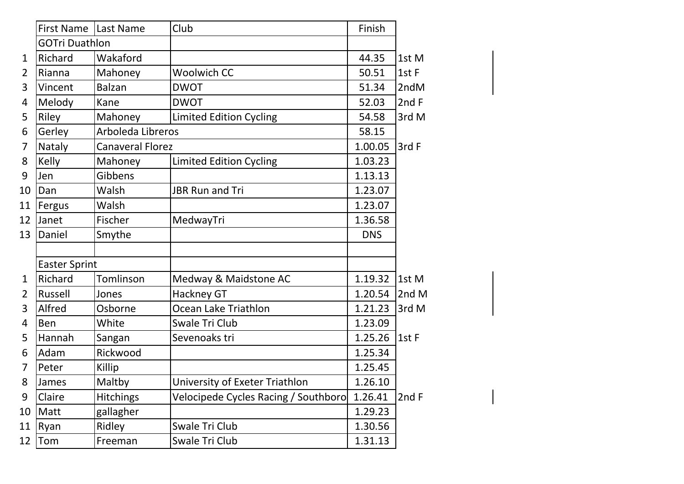|                | First Name   Last Name |                         | Club                                 | Finish     |        |
|----------------|------------------------|-------------------------|--------------------------------------|------------|--------|
|                | <b>GOTri Duathlon</b>  |                         |                                      |            |        |
| $\mathbf{1}$   | Richard                | Wakaford                |                                      | 44.35      | 1st M  |
| $\overline{2}$ | Rianna                 | Mahoney                 | <b>Woolwich CC</b>                   | 50.51      | 1st F  |
| 3              | Vincent                | <b>Balzan</b>           | <b>DWOT</b>                          | 51.34      | 2ndM   |
| 4              | Melody                 | Kane                    | <b>DWOT</b>                          | 52.03      | 2nd F  |
| 5              | Riley                  | Mahoney                 | <b>Limited Edition Cycling</b>       | 54.58      | 3rd M  |
| 6              | Gerley                 | Arboleda Libreros       |                                      | 58.15      |        |
| 7              | Nataly                 | <b>Canaveral Florez</b> |                                      | 1.00.05    | 3rd F  |
| 8              | Kelly                  | Mahoney                 | <b>Limited Edition Cycling</b>       | 1.03.23    |        |
| 9              | Jen                    | Gibbens                 |                                      | 1.13.13    |        |
| 10             | Dan                    | Walsh                   | <b>JBR Run and Tri</b>               | 1.23.07    |        |
| 11             | Fergus                 | Walsh                   |                                      | 1.23.07    |        |
| 12             | Janet                  | Fischer                 | MedwayTri                            | 1.36.58    |        |
| 13             | Daniel                 | Smythe                  |                                      | <b>DNS</b> |        |
|                |                        |                         |                                      |            |        |
|                | <b>Easter Sprint</b>   |                         |                                      |            |        |
| $\mathbf{1}$   | Richard                | Tomlinson               | Medway & Maidstone AC                | 1.19.32    | 1st M  |
| $\overline{2}$ | Russell                | Jones                   | Hackney GT                           | 1.20.54    | 2nd M  |
| 3              | Alfred                 | Osborne                 | Ocean Lake Triathlon                 | 1.21.23    | 3rd M  |
| 4              | <b>Ben</b>             | White                   | Swale Tri Club                       | 1.23.09    |        |
| 5              | Hannah                 | Sangan                  | Sevenoaks tri                        | 1.25.26    | l1st F |
| 6              | Adam                   | Rickwood                |                                      | 1.25.34    |        |
| $\overline{7}$ | Peter                  | Killip                  |                                      | 1.25.45    |        |
| 8              | James                  | Maltby                  | University of Exeter Triathlon       | 1.26.10    |        |
| 9              | Claire                 | <b>Hitchings</b>        | Velocipede Cycles Racing / Southboro | 1.26.41    | 2nd F  |
| 10             | Matt                   | gallagher               |                                      | 1.29.23    |        |
| 11             | Ryan                   | Ridley                  | Swale Tri Club                       | 1.30.56    |        |
| 12             | Tom                    | Freeman                 | Swale Tri Club                       | 1.31.13    |        |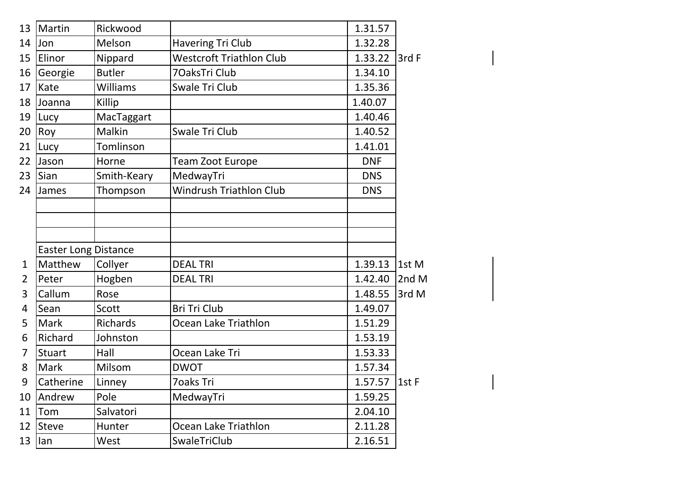| 13             | Martin                      | Rickwood        |                                 | 1.31.57         |               |
|----------------|-----------------------------|-----------------|---------------------------------|-----------------|---------------|
| 14             | <b>Jon</b>                  | Melson          | Havering Tri Club               | 1.32.28         |               |
| 15             | Elinor                      | Nippard         | <b>Westcroft Triathlon Club</b> | 1.33.22         | 3rd F         |
| 16             | Georgie                     | <b>Butler</b>   | 70aksTri Club                   | 1.34.10         |               |
| 17             | <b>Kate</b>                 | <b>Williams</b> | Swale Tri Club                  | 1.35.36         |               |
| 18             | Joanna                      | Killip          |                                 | 1.40.07         |               |
| 19             | <b>Lucy</b>                 | MacTaggart      |                                 | 1.40.46         |               |
| 20             | <b>Roy</b>                  | Malkin          | Swale Tri Club                  | 1.40.52         |               |
| 21             | Lucy                        | Tomlinson       |                                 | 1.41.01         |               |
| 22             | <b>Jason</b>                | Horne           | Team Zoot Europe                | <b>DNF</b>      |               |
| 23             | Sian                        | Smith-Keary     | MedwayTri                       | <b>DNS</b>      |               |
| 24             | <b>James</b>                | Thompson        | Windrush Triathlon Club         | <b>DNS</b>      |               |
|                |                             |                 |                                 |                 |               |
|                |                             |                 |                                 |                 |               |
|                |                             |                 |                                 |                 |               |
|                | <b>Easter Long Distance</b> |                 |                                 |                 |               |
| 1              | Matthew                     | Collyer         | <b>DEAL TRI</b>                 | 1.39.13         | $\vert$ 1st M |
| $\overline{2}$ | Peter                       | Hogben          | <b>DEAL TRI</b>                 | 1.42.40         | 2ndM          |
| 3              | Callum                      | Rose            |                                 | 1.48.55         | 3rd M         |
| 4              | Sean                        | Scott           | Bri Tri Club                    | 1.49.07         |               |
| 5              | <b>Mark</b>                 | Richards        | Ocean Lake Triathlon            | 1.51.29         |               |
| 6              | Richard                     | Johnston        |                                 | 1.53.19         |               |
| 7              | Stuart                      | Hall            | Ocean Lake Tri                  | 1.53.33         |               |
| 8              | Mark                        | Milsom          | <b>DWOT</b>                     | 1.57.34         |               |
| 9              | Catherine                   | Linney          | 7oaks Tri                       | 1.57.57   1st F |               |
| 10             | <b>Andrew</b>               | Pole            | MedwayTri                       | 1.59.25         |               |
| 11             | Tom                         | Salvatori       |                                 | 2.04.10         |               |
| 12             | Steve                       | Hunter          | Ocean Lake Triathlon            | 2.11.28         |               |
| 13             | llan                        | West            | SwaleTriClub                    | 2.16.51         |               |